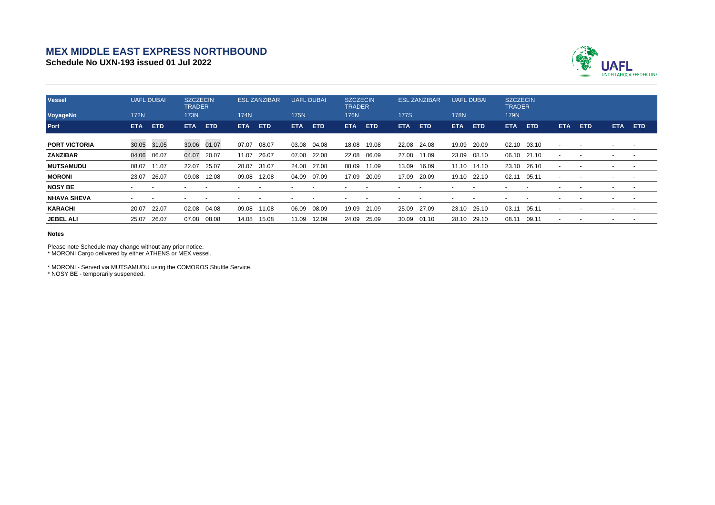## **MEX MIDDLE EAST EXPRESS NORTHBOUND**

**Schedule No UXN-193 issued 01 Jul 2022**



| <b>Vessel</b>        | <b>UAFL DUBAI</b> |                          | <b>SZCZECIN</b><br><b>TRADER</b> |            | <b>ESL ZANZIBAR</b>      |            | <b>UAFL DUBAI</b> |                          | <b>SZCZECIN</b><br><b>TRADER</b> |            | <b>ESL ZANZIBAR</b> |            | <b>UAFL DUBAI</b> |                          | <b>SZCZECIN</b><br><b>TRADER</b> |            |                          |            |                          |                          |
|----------------------|-------------------|--------------------------|----------------------------------|------------|--------------------------|------------|-------------------|--------------------------|----------------------------------|------------|---------------------|------------|-------------------|--------------------------|----------------------------------|------------|--------------------------|------------|--------------------------|--------------------------|
| VoyageNo             | <b>172N</b>       |                          | <b>173N</b>                      |            | 174N                     |            | <b>175N</b>       |                          | <b>176N</b>                      |            | <b>177S</b>         |            | <b>178N</b>       |                          | <b>179N</b>                      |            |                          |            |                          |                          |
| Port                 | <b>ETA</b>        | ETD                      | <b>ETA</b>                       | <b>ETD</b> | ETA.                     | <b>ETD</b> | <b>ETA</b>        | <b>ETD</b>               | ETA                              | <b>ETD</b> | <b>ETA</b>          | <b>ETD</b> | <b>ETA</b>        | <b>ETD</b>               | <b>ETA</b>                       | <b>ETD</b> | <b>ETA</b>               | <b>ETD</b> | <b>ETA</b>               | <b>ETD</b>               |
| <b>PORT VICTORIA</b> | 30.05             | 31.05                    | 30.06 01.07                      |            | 07.07                    | 08.07      | 03.08             | 04.08                    | 18.08                            | 19.08      | 22.08               | 24.08      | 19.09             | 20.09                    | 02.10                            | 03.10      | $\overline{\phantom{0}}$ |            |                          |                          |
| ZANZIBAR             | 04.06             | 06.07                    | 04.07                            | 20.07      | 11.07                    | 26.07      | 07.08             | 22.08                    | 22.08                            | 06.09      | 27.08               | 11.09      | 23.09             | 08.10                    | 06.10                            | 21.10      |                          |            | $\overline{\phantom{a}}$ | $\overline{\phantom{a}}$ |
| <b>MUTSAMUDU</b>     | 08.07             | 11.07                    | 22.07                            | 25.07      | 28.07                    | 31.07      | 24.08             | 27.08                    | 08.09                            | 11.09      | 13.09               | 16.09      | 11.10             | 14.10                    | 23.10                            | 26.10      |                          |            |                          |                          |
| <b>MORONI</b>        | 23.07             | 26.07                    | 09.08                            | 12.08      | 09.08                    | 12.08      | 04.09             | 07.09                    | 17.09                            | 20.09      | 17.09               | 20.09      | 19.10             | 22.10                    | 02.11                            | 05.11      |                          |            |                          |                          |
| <b>NOSY BE</b>       |                   | -                        |                                  |            |                          |            |                   |                          |                                  |            |                     |            |                   | $\overline{\phantom{a}}$ |                                  |            |                          |            | $\overline{a}$           |                          |
| <b>NHAVA SHEVA</b>   |                   | $\overline{\phantom{a}}$ |                                  |            | $\overline{\phantom{a}}$ |            |                   | $\overline{\phantom{a}}$ |                                  |            |                     |            |                   | $\overline{\phantom{a}}$ |                                  |            |                          |            | $\overline{\phantom{a}}$ | $\overline{\phantom{a}}$ |
| <b>KARACHI</b>       | 20.07             | 22.07                    | 02.08                            | 04.08      | 09.08                    | 11.08      | 06.09             | 08.09                    | 19.09                            | 21.09      | 25.09               | 27.09      | 23.10             | 25.10                    | 03.11                            | 05.11      |                          |            |                          |                          |
| <b>JEBEL ALI</b>     | 25.07             | 26.07                    | 07.08                            | 08.08      | 14.08                    | 15.08      | 11.09             | 12.09                    | 24.09                            | 25.09      | 30.09               | 01.10      | 28.10             | 29.10                    | 08.11                            | 09.11      |                          |            | $\overline{\phantom{a}}$ | $\sim$                   |

## **Notes**

Please note Schedule may change without any prior notice.

\* MORONI Cargo delivered by either ATHENS or MEX vessel.

\* MORONI - Served via MUTSAMUDU using the COMOROS Shuttle Service. \* NOSY BE - temporarily suspended.